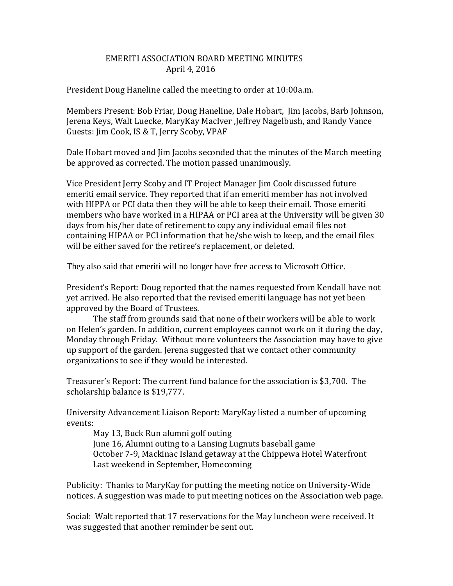## EMERITI ASSOCIATION BOARD MEETING MINUTES April 4, 2016

President Doug Haneline called the meeting to order at 10:00a.m.

Members Present: Bob Friar, Doug Haneline, Dale Hobart, Jim Jacobs, Barb Johnson, Jerena Keys, Walt Luecke, MaryKay MacIver ,Jeffrey Nagelbush, and Randy Vance Guests: Jim Cook, IS & T, Jerry Scoby, VPAF

Dale Hobart moved and Jim Jacobs seconded that the minutes of the March meeting be approved as corrected. The motion passed unanimously.

Vice President Jerry Scoby and IT Project Manager Jim Cook discussed future emeriti email service. They reported that if an emeriti member has not involved with HIPPA or PCI data then they will be able to keep their email. Those emeriti members who have worked in a HIPAA or PCI area at the University will be given 30 days from his/her date of retirement to copy any individual email files not containing HIPAA or PCI information that he/she wish to keep, and the email files will be either saved for the retiree's replacement, or deleted.

They also said that emeriti will no longer have free access to Microsoft Office.

President's Report: Doug reported that the names requested from Kendall have not yet arrived. He also reported that the revised emeriti language has not yet been approved by the Board of Trustees.

The staff from grounds said that none of their workers will be able to work on Helen's garden. In addition, current employees cannot work on it during the day, Monday through Friday. Without more volunteers the Association may have to give up support of the garden. Jerena suggested that we contact other community organizations to see if they would be interested.

Treasurer's Report: The current fund balance for the association is \$3,700. The scholarship balance is \$19,777.

University Advancement Liaison Report: MaryKay listed a number of upcoming events:

May 13, Buck Run alumni golf outing June 16, Alumni outing to a Lansing Lugnuts baseball game October 7-9, Mackinac Island getaway at the Chippewa Hotel Waterfront Last weekend in September, Homecoming

Publicity: Thanks to MaryKay for putting the meeting notice on University-Wide notices. A suggestion was made to put meeting notices on the Association web page.

Social: Walt reported that 17 reservations for the May luncheon were received. It was suggested that another reminder be sent out.